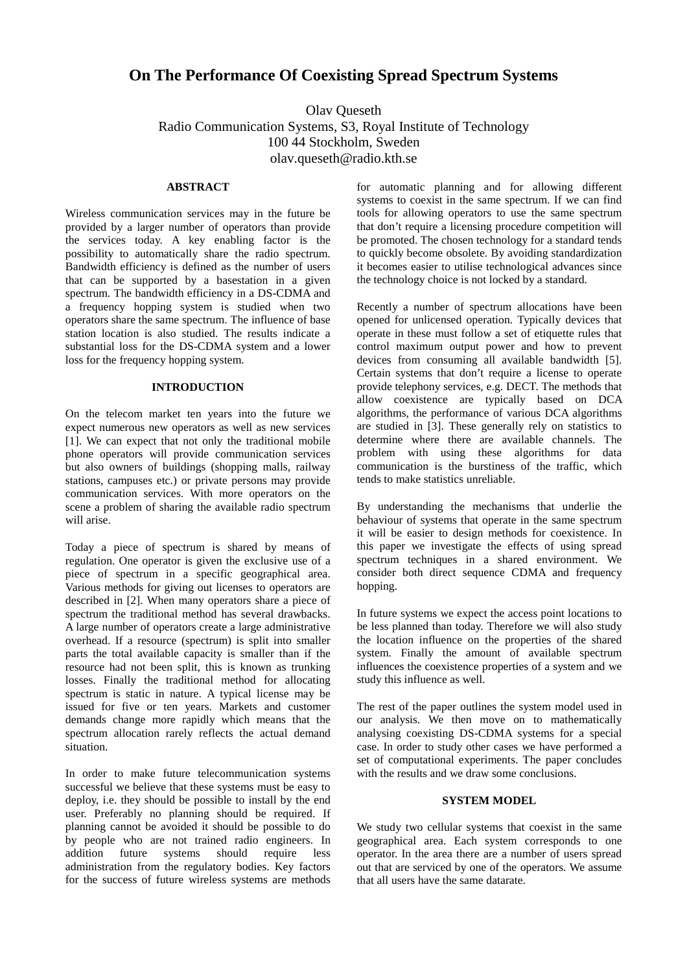# **On The Performance Of Coexisting Spread Spectrum Systems**

Olav Queseth Radio Communication Systems, S3, Royal Institute of Technology 100 44 Stockholm, Sweden olav.queseth@radio.kth.se

### **ABSTRACT**

Wireless communication services may in the future be provided by a larger number of operators than provide the services today. A key enabling factor is the possibility to automatically share the radio spectrum. Bandwidth efficiency is defined as the number of users that can be supported by a basestation in a given spectrum. The bandwidth efficiency in a DS-CDMA and a frequency hopping system is studied when two operators share the same spectrum. The influence of base station location is also studied. The results indicate a substantial loss for the DS-CDMA system and a lower loss for the frequency hopping system.

# **INTRODUCTION**

On the telecom market ten years into the future we expect numerous new operators as well as new services [1]. We can expect that not only the traditional mobile phone operators will provide communication services but also owners of buildings (shopping malls, railway stations, campuses etc.) or private persons may provide communication services. With more operators on the scene a problem of sharing the available radio spectrum will arise.

Today a piece of spectrum is shared by means of regulation. One operator is given the exclusive use of a piece of spectrum in a specific geographical area. Various methods for giving out licenses to operators are described in [2]. When many operators share a piece of spectrum the traditional method has several drawbacks. A large number of operators create a large administrative overhead. If a resource (spectrum) is split into smaller parts the total available capacity is smaller than if the resource had not been split, this is known as trunking losses. Finally the traditional method for allocating spectrum is static in nature. A typical license may be issued for five or ten years. Markets and customer demands change more rapidly which means that the spectrum allocation rarely reflects the actual demand situation.

In order to make future telecommunication systems successful we believe that these systems must be easy to deploy, i.e. they should be possible to install by the end user. Preferably no planning should be required. If planning cannot be avoided it should be possible to do by people who are not trained radio engineers. In addition future systems should require less administration from the regulatory bodies. Key factors for the success of future wireless systems are methods

for automatic planning and for allowing different systems to coexist in the same spectrum. If we can find tools for allowing operators to use the same spectrum that don't require a licensing procedure competition will be promoted. The chosen technology for a standard tends to quickly become obsolete. By avoiding standardization it becomes easier to utilise technological advances since the technology choice is not locked by a standard.

Recently a number of spectrum allocations have been opened for unlicensed operation. Typically devices that operate in these must follow a set of etiquette rules that control maximum output power and how to prevent devices from consuming all available bandwidth [5]. Certain systems that don't require a license to operate provide telephony services, e.g. DECT. The methods that allow coexistence are typically based on DCA algorithms, the performance of various DCA algorithms are studied in [3]. These generally rely on statistics to determine where there are available channels. The problem with using these algorithms for data communication is the burstiness of the traffic, which tends to make statistics unreliable.

By understanding the mechanisms that underlie the behaviour of systems that operate in the same spectrum it will be easier to design methods for coexistence. In this paper we investigate the effects of using spread spectrum techniques in a shared environment. We consider both direct sequence CDMA and frequency hopping.

In future systems we expect the access point locations to be less planned than today. Therefore we will also study the location influence on the properties of the shared system. Finally the amount of available spectrum influences the coexistence properties of a system and we study this influence as well.

The rest of the paper outlines the system model used in our analysis. We then move on to mathematically analysing coexisting DS-CDMA systems for a special case. In order to study other cases we have performed a set of computational experiments. The paper concludes with the results and we draw some conclusions.

### **SYSTEM MODEL**

We study two cellular systems that coexist in the same geographical area. Each system corresponds to one operator. In the area there are a number of users spread out that are serviced by one of the operators. We assume that all users have the same datarate.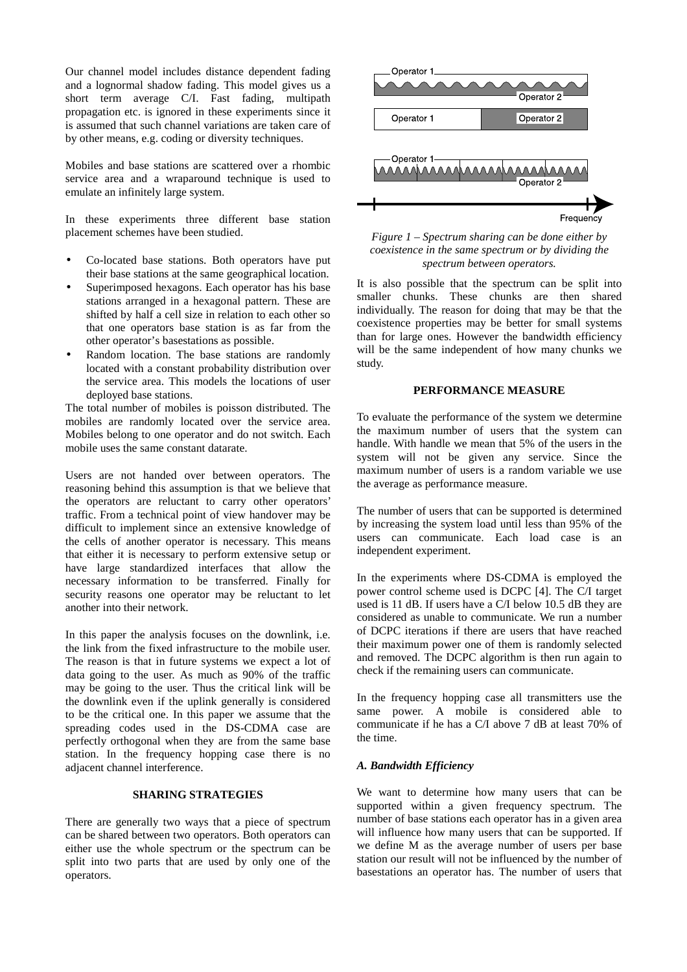Our channel model includes distance dependent fading and a lognormal shadow fading. This model gives us a short term average C/I. Fast fading, multipath propagation etc. is ignored in these experiments since it is assumed that such channel variations are taken care of by other means, e.g. coding or diversity techniques.

Mobiles and base stations are scattered over a rhombic service area and a wraparound technique is used to emulate an infinitely large system.

In these experiments three different base station placement schemes have been studied.

- Co-located base stations. Both operators have put their base stations at the same geographical location.
- Superimposed hexagons. Each operator has his base stations arranged in a hexagonal pattern. These are shifted by half a cell size in relation to each other so that one operators base station is as far from the other operator's basestations as possible.
- Random location. The base stations are randomly located with a constant probability distribution over the service area. This models the locations of user deployed base stations.

The total number of mobiles is poisson distributed. The mobiles are randomly located over the service area. Mobiles belong to one operator and do not switch. Each mobile uses the same constant datarate.

Users are not handed over between operators. The reasoning behind this assumption is that we believe that the operators are reluctant to carry other operators' traffic. From a technical point of view handover may be difficult to implement since an extensive knowledge of the cells of another operator is necessary. This means that either it is necessary to perform extensive setup or have large standardized interfaces that allow the necessary information to be transferred. Finally for security reasons one operator may be reluctant to let another into their network.

In this paper the analysis focuses on the downlink, i.e. the link from the fixed infrastructure to the mobile user. The reason is that in future systems we expect a lot of data going to the user. As much as 90% of the traffic may be going to the user. Thus the critical link will be the downlink even if the uplink generally is considered to be the critical one. In this paper we assume that the spreading codes used in the DS-CDMA case are perfectly orthogonal when they are from the same base station. In the frequency hopping case there is no adjacent channel interference.

### **SHARING STRATEGIES**

There are generally two ways that a piece of spectrum can be shared between two operators. Both operators can either use the whole spectrum or the spectrum can be split into two parts that are used by only one of the operators.



*Figure 1 – Spectrum sharing can be done either by coexistence in the same spectrum or by dividing the spectrum between operators.*

It is also possible that the spectrum can be split into smaller chunks. These chunks are then shared individually. The reason for doing that may be that the coexistence properties may be better for small systems than for large ones. However the bandwidth efficiency will be the same independent of how many chunks we study.

# **PERFORMANCE MEASURE**

To evaluate the performance of the system we determine the maximum number of users that the system can handle. With handle we mean that 5% of the users in the system will not be given any service. Since the maximum number of users is a random variable we use the average as performance measure.

The number of users that can be supported is determined by increasing the system load until less than 95% of the users can communicate. Each load case is an independent experiment.

In the experiments where DS-CDMA is employed the power control scheme used is DCPC [4]. The C/I target used is 11 dB. If users have a C/I below 10.5 dB they are considered as unable to communicate. We run a number of DCPC iterations if there are users that have reached their maximum power one of them is randomly selected and removed. The DCPC algorithm is then run again to check if the remaining users can communicate.

In the frequency hopping case all transmitters use the same power. A mobile is considered able to communicate if he has a C/I above 7 dB at least 70% of the time.

# *A. Bandwidth Efficiency*

We want to determine how many users that can be supported within a given frequency spectrum. The number of base stations each operator has in a given area will influence how many users that can be supported. If we define M as the average number of users per base station our result will not be influenced by the number of basestations an operator has. The number of users that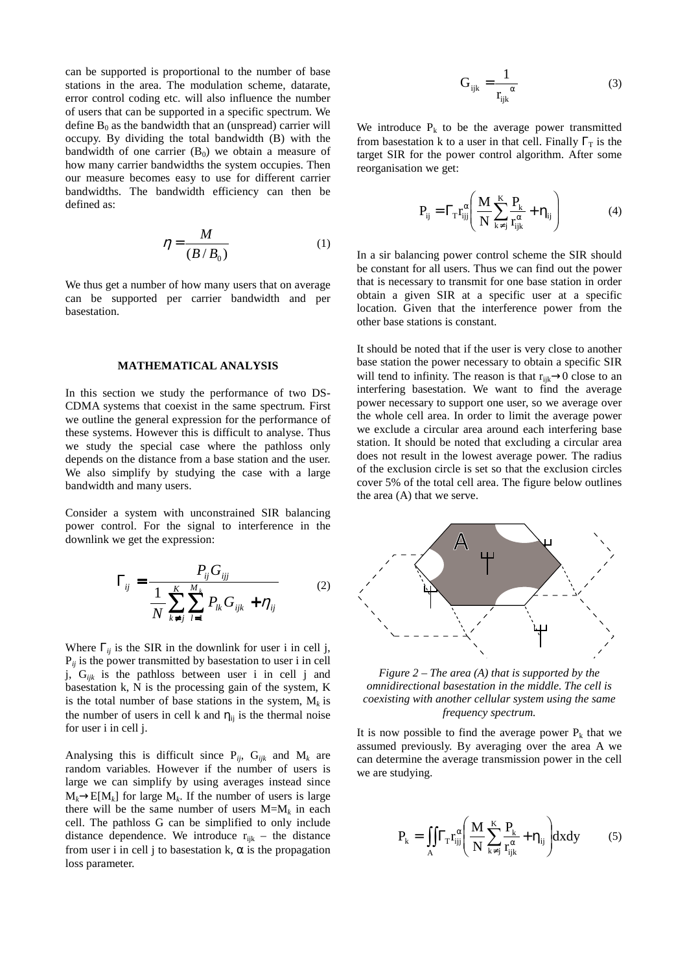can be supported is proportional to the number of base stations in the area. The modulation scheme, datarate, error control coding etc. will also influence the number of users that can be supported in a specific spectrum. We define  $B_0$  as the bandwidth that an (unspread) carrier will occupy. By dividing the total bandwidth (B) with the bandwidth of one carrier  $(B_0)$  we obtain a measure of how many carrier bandwidths the system occupies. Then our measure becomes easy to use for different carrier bandwidths. The bandwidth efficiency can then be defined as:

$$
\eta = \frac{M}{(B/B_0)}\tag{1}
$$

We thus get a number of how many users that on average can be supported per carrier bandwidth and per basestation.

#### **MATHEMATICAL ANALYSIS**

In this section we study the performance of two DS-CDMA systems that coexist in the same spectrum. First we outline the general expression for the performance of these systems. However this is difficult to analyse. Thus we study the special case where the pathloss only depends on the distance from a base station and the user. We also simplify by studying the case with a large bandwidth and many users.

Consider a system with unconstrained SIR balancing power control. For the signal to interference in the downlink we get the expression:

$$
\Gamma_{ij} = \frac{P_{ij} G_{ijj}}{\frac{1}{N} \sum_{k \neq j}^{K} \sum_{l=1}^{M_k} P_{lk} G_{ijk} + \eta_{ij}}
$$
(2)

Where  $\Gamma_{ij}$  is the SIR in the downlink for user i in cell j, P*ij* is the power transmitted by basestation to user i in cell j, G*ijk* is the pathloss between user i in cell j and basestation k, N is the processing gain of the system, K is the total number of base stations in the system,  $M_k$  is the number of users in cell k and  $\eta_{ii}$  is the thermal noise for user i in cell j.

Analysing this is difficult since  $P_{ij}$ ,  $G_{ijk}$  and  $M_k$  are random variables. However if the number of users is large we can simplify by using averages instead since  $M_k \rightarrow E[M_k]$  for large  $M_k$ . If the number of users is large there will be the same number of users  $M=M_k$  in each cell. The pathloss G can be simplified to only include distance dependence. We introduce  $r_{ijk}$  – the distance from user i in cell j to basestation k,  $\alpha$  is the propagation loss parameter.

$$
G_{ijk} = \frac{1}{r_{ijk}^{\alpha}}
$$
 (3)

We introduce  $P_k$  to be the average power transmitted from basestation k to a user in that cell. Finally  $\Gamma$ <sup>T</sup> is the target SIR for the power control algorithm. After some reorganisation we get:

$$
P_{ij} = \Gamma_{T} r_{ij}^{\alpha} \left( \frac{M}{N} \sum_{k \neq j}^{K} \frac{P_{k}}{r_{ijk}^{\alpha}} + \eta_{ij} \right)
$$
(4)

In a sir balancing power control scheme the SIR should be constant for all users. Thus we can find out the power that is necessary to transmit for one base station in order obtain a given SIR at a specific user at a specific location. Given that the interference power from the other base stations is constant.

It should be noted that if the user is very close to another base station the power necessary to obtain a specific SIR will tend to infinity. The reason is that  $r_{ijk} \rightarrow 0$  close to an interfering basestation. We want to find the average power necessary to support one user, so we average over the whole cell area. In order to limit the average power we exclude a circular area around each interfering base station. It should be noted that excluding a circular area does not result in the lowest average power. The radius of the exclusion circle is set so that the exclusion circles cover 5% of the total cell area. The figure below outlines the area (A) that we serve.



*Figure 2 – The area (A) that is supported by the omnidirectional basestation in the middle. The cell is coexisting with another cellular system using the same frequency spectrum.*

It is now possible to find the average power  $P_k$  that we assumed previously. By averaging over the area A we can determine the average transmission power in the cell we are studying.

$$
P_k = \iint_A \Gamma_T r_{ijj}^{\alpha} \left( \frac{M}{N} \sum_{k \neq j}^{K} \frac{P_k}{r_{ijk}^{\alpha}} + \eta_{ij} \right) dx dy
$$
 (5)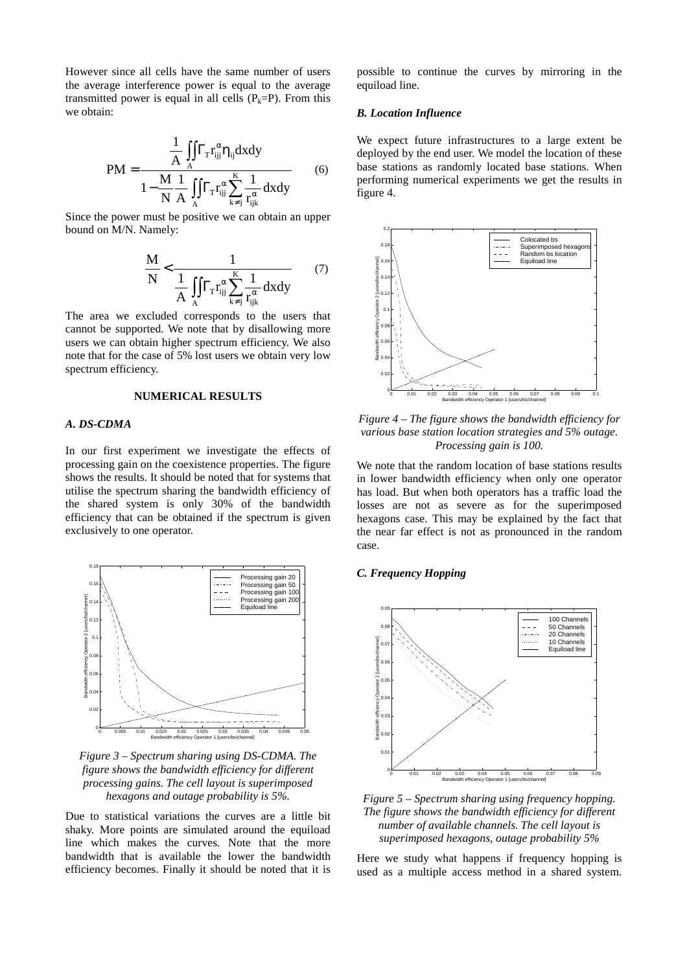However since all cells have the same number of users the average interference power is equal to the average transmitted power is equal in all cells  $(P_k = P)$ . From this we obtain:

$$
PM = \frac{\frac{1}{A} \iint_{A} \Gamma_{T} r_{ijj}^{\alpha} \eta_{ij} dxdy}{1 - \frac{M}{N} \frac{1}{A} \iint_{A} \Gamma_{T} r_{ijj}^{\alpha} \sum_{k \neq j}^{K} \frac{1}{r_{ijk}^{\alpha}} dxdy}
$$
(6)

Since the power must be positive we can obtain an upper bound on M/N. Namely:

$$
\frac{M}{N} < \frac{1}{\frac{1}{A} \iint_{A} \Gamma_{r} r_{ij}^{\alpha} \sum_{k \neq j}^{K} \frac{1}{r_{ijk}^{\alpha}} dxdy}
$$
(7)

The area we excluded corresponds to the users that cannot be supported. We note that by disallowing more users we can obtain higher spectrum efficiency. We also note that for the case of 5% lost users we obtain very low spectrum efficiency.

### **NUMERICAL RESULTS**

# *A. DS-CDMA*

In our first experiment we investigate the effects of processing gain on the coexistence properties. The figure shows the results. It should be noted that for systems that utilise the spectrum sharing the bandwidth efficiency of the shared system is only 30% of the bandwidth efficiency that can be obtained if the spectrum is given exclusively to one operator.



*Figure 3 – Spectrum sharing using DS-CDMA. The figure shows the bandwidth efficiency for different processing gains. The cell layout is superimposed hexagons and outage probability is 5%.*

Due to statistical variations the curves are a little bit shaky. More points are simulated around the equiload line which makes the curves. Note that the more bandwidth that is available the lower the bandwidth efficiency becomes. Finally it should be noted that it is possible to continue the curves by mirroring in the equiload line.

#### *B. Location Influence*

We expect future infrastructures to a large extent be deployed by the end user. We model the location of these base stations as randomly located base stations. When performing numerical experiments we get the results in figure 4.



*Figure 4 – The figure shows the bandwidth efficiency for various base station location strategies and 5% outage. Processing gain is 100.*

We note that the random location of base stations results in lower bandwidth efficiency when only one operator has load. But when both operators has a traffic load the losses are not as severe as for the superimposed hexagons case. This may be explained by the fact that the near far effect is not as pronounced in the random case.

# *C. Frequency Hopping*



*Figure 5 – Spectrum sharing using frequency hopping. The figure shows the bandwidth efficiency for different number of available channels. The cell layout is superimposed hexagons, outage probability 5%*

Here we study what happens if frequency hopping is used as a multiple access method in a shared system.